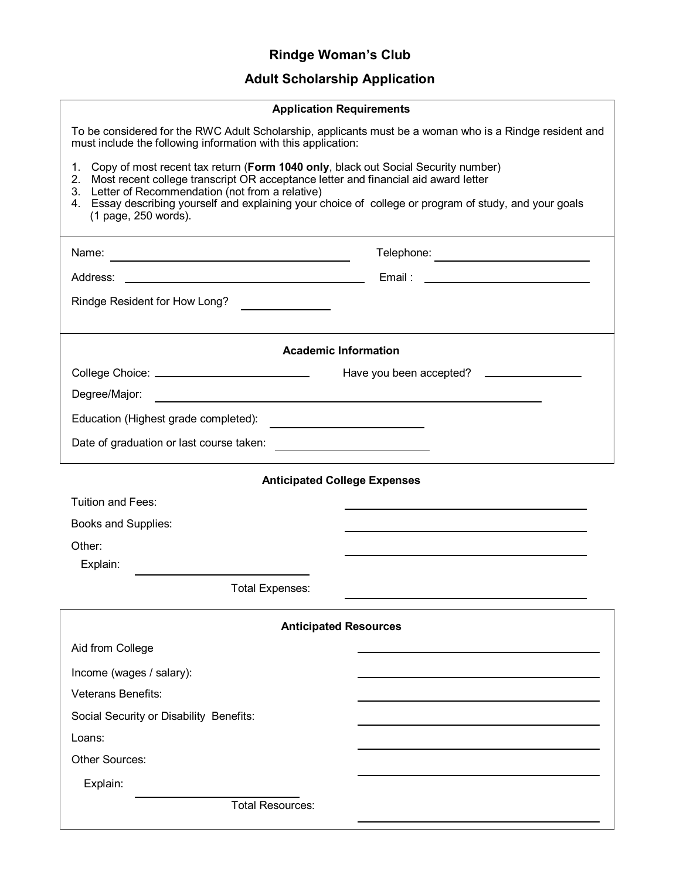## **Rindge Woman's Club**

## **Adult Scholarship Application**

| <b>Application Requirements</b>                                                                                                                                                                                                                                                                                                                                                        |                                                  |
|----------------------------------------------------------------------------------------------------------------------------------------------------------------------------------------------------------------------------------------------------------------------------------------------------------------------------------------------------------------------------------------|--------------------------------------------------|
| To be considered for the RWC Adult Scholarship, applicants must be a woman who is a Rindge resident and<br>must include the following information with this application:                                                                                                                                                                                                               |                                                  |
| Copy of most recent tax return (Form 1040 only, black out Social Security number)<br>$1_{\cdot}$<br>Most recent college transcript OR acceptance letter and financial aid award letter<br>2.<br>Letter of Recommendation (not from a relative)<br>3.<br>4. Essay describing yourself and explaining your choice of college or program of study, and your goals<br>(1 page, 250 words). |                                                  |
|                                                                                                                                                                                                                                                                                                                                                                                        | Telephone: _________________________             |
| Address:<br>the control of the control of the control of the control of the control of                                                                                                                                                                                                                                                                                                 |                                                  |
| Rindge Resident for How Long?                                                                                                                                                                                                                                                                                                                                                          |                                                  |
| <b>Academic Information</b>                                                                                                                                                                                                                                                                                                                                                            |                                                  |
| College Choice: _____________________________                                                                                                                                                                                                                                                                                                                                          | Have you been accepted? ________________         |
| Degree/Major:                                                                                                                                                                                                                                                                                                                                                                          |                                                  |
| Education (Highest grade completed):                                                                                                                                                                                                                                                                                                                                                   |                                                  |
| Date of graduation or last course taken:                                                                                                                                                                                                                                                                                                                                               | the control of the control of the control of the |
| <b>Anticipated College Expenses</b>                                                                                                                                                                                                                                                                                                                                                    |                                                  |
| <b>Tuition and Fees:</b>                                                                                                                                                                                                                                                                                                                                                               |                                                  |
| Books and Supplies:                                                                                                                                                                                                                                                                                                                                                                    |                                                  |
| Other:                                                                                                                                                                                                                                                                                                                                                                                 |                                                  |
| Explain:                                                                                                                                                                                                                                                                                                                                                                               |                                                  |
| <b>Total Expenses:</b>                                                                                                                                                                                                                                                                                                                                                                 |                                                  |
| <b>Anticipated Resources</b>                                                                                                                                                                                                                                                                                                                                                           |                                                  |
| Aid from College                                                                                                                                                                                                                                                                                                                                                                       |                                                  |
| Income (wages / salary):                                                                                                                                                                                                                                                                                                                                                               |                                                  |
| <b>Veterans Benefits:</b>                                                                                                                                                                                                                                                                                                                                                              |                                                  |
| Social Security or Disability Benefits:                                                                                                                                                                                                                                                                                                                                                |                                                  |
| Loans:                                                                                                                                                                                                                                                                                                                                                                                 |                                                  |
| <b>Other Sources:</b>                                                                                                                                                                                                                                                                                                                                                                  |                                                  |
| Explain:                                                                                                                                                                                                                                                                                                                                                                               |                                                  |
| <b>Total Resources:</b>                                                                                                                                                                                                                                                                                                                                                                |                                                  |